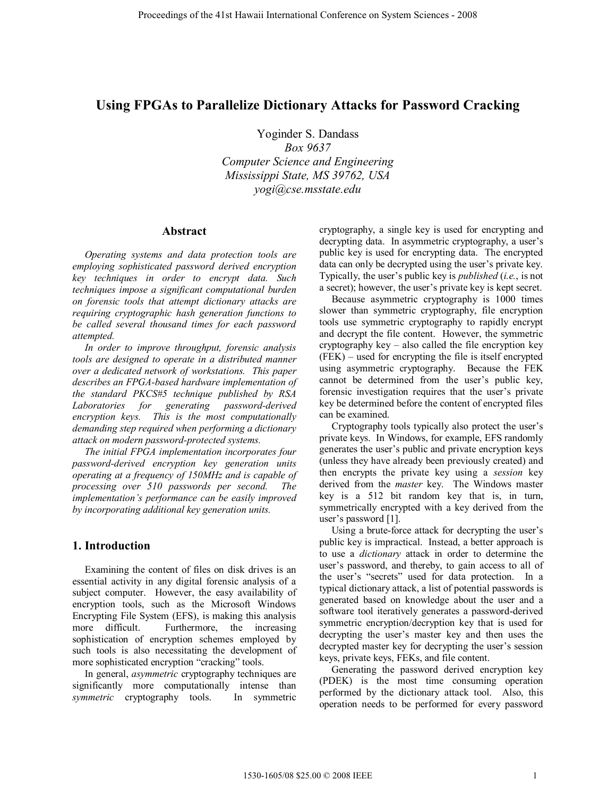# **Using FPGAs to Parallelize Dictionary Attacks for Password Cracking**

Yoginder S. Dandass

*Box 9637 Computer Science and Engineering Mississippi State, MS 39762, USA yogi@cse.msstate.edu*

#### **Abstract**

*Operating systems and data protection tools are employing sophisticated password derived encryption key techniques in order to encrypt data. Such techniques impose a significant computational burden on forensic tools that attempt dictionary attacks are requiring cryptographic hash generation functions to be called several thousand times for each password attempted.* 

*In order to improve throughput, forensic analysis tools are designed to operate in a distributed manner over a dedicated network of workstations. This paper describes an FPGA-based hardware implementation of the standard PKCS#5 technique published by RSA Laboratories for generating password-derived encryption keys. This is the most computationally demanding step required when performing a dictionary attack on modern password-protected systems.* 

*The initial FPGA implementation incorporates four password-derived encryption key generation units operating at a frequency of 150MHz and is capable of processing over 510 passwords per second. The implementation's performance can be easily improved by incorporating additional key generation units.* 

## **1. Introduction**

Examining the content of files on disk drives is an essential activity in any digital forensic analysis of a subject computer. However, the easy availability of encryption tools, such as the Microsoft Windows Encrypting File System (EFS), is making this analysis more difficult. Furthermore, the increasing sophistication of encryption schemes employed by such tools is also necessitating the development of more sophisticated encryption "cracking" tools.

In general, *asymmetric* cryptography techniques are significantly more computationally intense than *symmetric* cryptography tools. In symmetric cryptography, a single key is used for encrypting and decrypting data. In asymmetric cryptography, a user's public key is used for encrypting data. The encrypted data can only be decrypted using the user's private key. Typically, the user's public key is *published* (*i.e.*, is not a secret); however, the user's private key is kept secret.

Because asymmetric cryptography is 1000 times slower than symmetric cryptography, file encryption tools use symmetric cryptography to rapidly encrypt and decrypt the file content. However, the symmetric cryptography key – also called the file encryption key (FEK) – used for encrypting the file is itself encrypted using asymmetric cryptography. Because the FEK cannot be determined from the user's public key, forensic investigation requires that the user's private key be determined before the content of encrypted files can be examined.

Cryptography tools typically also protect the user's private keys. In Windows, for example, EFS randomly generates the user's public and private encryption keys (unless they have already been previously created) and then encrypts the private key using a *session* key derived from the *master* key. The Windows master key is a 512 bit random key that is, in turn, symmetrically encrypted with a key derived from the user's password [1].

Using a brute-force attack for decrypting the user's public key is impractical. Instead, a better approach is to use a *dictionary* attack in order to determine the user's password, and thereby, to gain access to all of the user's "secrets" used for data protection. In a typical dictionary attack, a list of potential passwords is generated based on knowledge about the user and a software tool iteratively generates a password-derived symmetric encryption/decryption key that is used for decrypting the user's master key and then uses the decrypted master key for decrypting the user's session keys, private keys, FEKs, and file content.

Generating the password derived encryption key (PDEK) is the most time consuming operation performed by the dictionary attack tool. Also, this operation needs to be performed for every password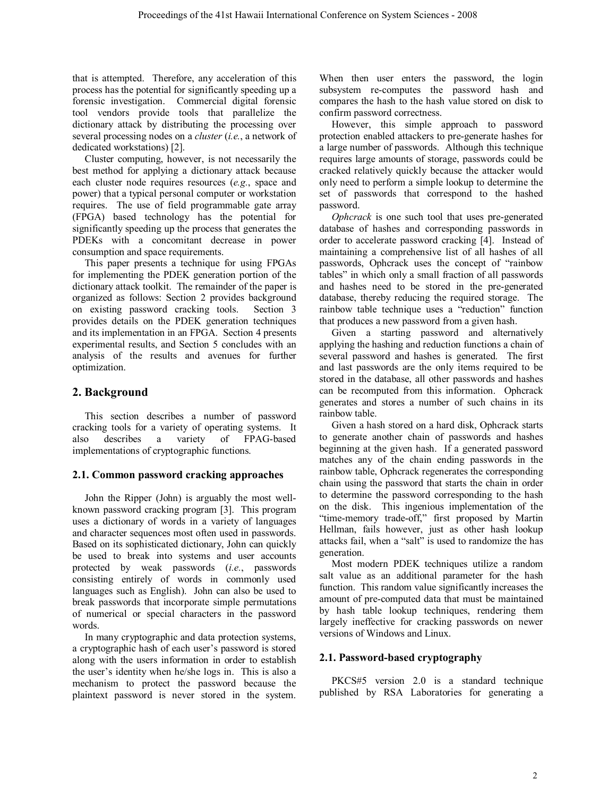that is attempted. Therefore, any acceleration of this process has the potential for significantly speeding up a forensic investigation. Commercial digital forensic tool vendors provide tools that parallelize the dictionary attack by distributing the processing over several processing nodes on a *cluster* (*i.e.*, a network of dedicated workstations) [2].

Cluster computing, however, is not necessarily the best method for applying a dictionary attack because each cluster node requires resources (*e.g.*, space and power) that a typical personal computer or workstation requires. The use of field programmable gate array (FPGA) based technology has the potential for significantly speeding up the process that generates the PDEKs with a concomitant decrease in power consumption and space requirements.

This paper presents a technique for using FPGAs for implementing the PDEK generation portion of the dictionary attack toolkit. The remainder of the paper is organized as follows: Section 2 provides background on existing password cracking tools. Section 3 provides details on the PDEK generation techniques and its implementation in an FPGA. Section 4 presents experimental results, and Section 5 concludes with an analysis of the results and avenues for further optimization.

## **2. Background**

This section describes a number of password cracking tools for a variety of operating systems. It also describes a variety of FPAG-based implementations of cryptographic functions.

## **2.1. Common password cracking approaches**

John the Ripper (John) is arguably the most wellknown password cracking program [3]. This program uses a dictionary of words in a variety of languages and character sequences most often used in passwords. Based on its sophisticated dictionary, John can quickly be used to break into systems and user accounts protected by weak passwords (*i.e.*, passwords consisting entirely of words in commonly used languages such as English). John can also be used to break passwords that incorporate simple permutations of numerical or special characters in the password words.

In many cryptographic and data protection systems, a cryptographic hash of each user's password is stored along with the users information in order to establish the user's identity when he/she logs in. This is also a mechanism to protect the password because the plaintext password is never stored in the system.

When then user enters the password, the login subsystem re-computes the password hash and compares the hash to the hash value stored on disk to confirm password correctness.

However, this simple approach to password protection enabled attackers to pre-generate hashes for a large number of passwords. Although this technique requires large amounts of storage, passwords could be cracked relatively quickly because the attacker would only need to perform a simple lookup to determine the set of passwords that correspond to the hashed password.

*Ophcrack* is one such tool that uses pre-generated database of hashes and corresponding passwords in order to accelerate password cracking [4]. Instead of maintaining a comprehensive list of all hashes of all passwords, Ophcrack uses the concept of "rainbow tables" in which only a small fraction of all passwords and hashes need to be stored in the pre-generated database, thereby reducing the required storage. The rainbow table technique uses a "reduction" function that produces a new password from a given hash.

Given a starting password and alternatively applying the hashing and reduction functions a chain of several password and hashes is generated. The first and last passwords are the only items required to be stored in the database, all other passwords and hashes can be recomputed from this information. Ophcrack generates and stores a number of such chains in its rainbow table.

Given a hash stored on a hard disk, Ophcrack starts to generate another chain of passwords and hashes beginning at the given hash. If a generated password matches any of the chain ending passwords in the rainbow table, Ophcrack regenerates the corresponding chain using the password that starts the chain in order to determine the password corresponding to the hash on the disk. This ingenious implementation of the "time-memory trade-off," first proposed by Martin Hellman, fails however, just as other hash lookup attacks fail, when a "salt" is used to randomize the has generation.

Most modern PDEK techniques utilize a random salt value as an additional parameter for the hash function. This random value significantly increases the amount of pre-computed data that must be maintained by hash table lookup techniques, rendering them largely ineffective for cracking passwords on newer versions of Windows and Linux.

## **2.1. Password-based cryptography**

PKCS#5 version 2.0 is a standard technique published by RSA Laboratories for generating a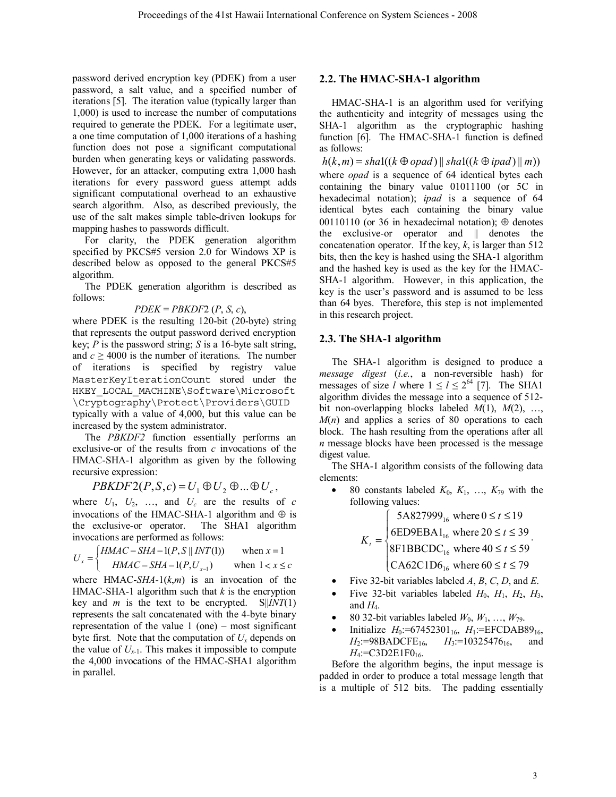password derived encryption key (PDEK) from a user password, a salt value, and a specified number of iterations [5]. The iteration value (typically larger than 1,000) is used to increase the number of computations required to generate the PDEK. For a legitimate user, a one time computation of 1,000 iterations of a hashing function does not pose a significant computational burden when generating keys or validating passwords. However, for an attacker, computing extra 1,000 hash iterations for every password guess attempt adds significant computational overhead to an exhaustive search algorithm. Also, as described previously, the use of the salt makes simple table-driven lookups for mapping hashes to passwords difficult.

For clarity, the PDEK generation algorithm specified by PKCS#5 version 2.0 for Windows XP is described below as opposed to the general PKCS#5 algorithm.

The PDEK generation algorithm is described as follows:

## *PDEK* = *PBKDF*2 (*P*, *S*, *c*),

where PDEK is the resulting 120-bit (20-byte) string that represents the output password derived encryption key; *P* is the password string; *S* is a 16-byte salt string, and  $c \ge 4000$  is the number of iterations. The number of iterations is specified by registry value MasterKeyIterationCount stored under the HKEY LOCAL MACHINE\Software\Microsoft \Cryptography\Protect\Providers\GUID typically with a value of 4,000, but this value can be

increased by the system administrator. The *PBKDF2* function essentially performs an

exclusive-or of the results from *c* invocations of the HMAC-SHA-1 algorithm as given by the following recursive expression:

 $PBKDF2(P, S, c) = U_1 \oplus U_2 \oplus ... \oplus U_c$ 

where  $U_1$ ,  $U_2$ , ..., and  $U_c$  are the results of *c* invocations of the HMAC-SHA-1 algorithm and  $\oplus$  is the exclusive-or operator. The SHA1 algorithm invocations are performed as follows:

$$
U_x = \begin{cases} \nHMAC - SHA - 1(P, S \parallel INT(1)) & \text{when } x = 1 \\ \nHMAC - SHA - 1(P, U_{x-1}) & \text{when } 1 < x \le c \n\end{cases}
$$

where HMAC-*SHA-*1(*k*,*m*) is an invocation of the HMAC-SHA-1 algorithm such that  $k$  is the encryption key and *m* is the text to be encrypted.  $S||INT(1)$ represents the salt concatenated with the 4-byte binary representation of the value  $1$  (one) – most significant byte first. Note that the computation of  $U_x$  depends on the value of  $U_{x-1}$ . This makes it impossible to compute the 4,000 invocations of the HMAC-SHA1 algorithm in parallel.

## **2.2. The HMAC-SHA-1 algorithm**

HMAC-SHA-1 is an algorithm used for verifying the authenticity and integrity of messages using the SHA-1 algorithm as the cryptographic hashing function [6]. The HMAC-SHA-1 function is defined as follows:

 $h(k,m) = shal((k \oplus opad) \parallel shal((k \oplus ipad) \parallel m))$ where *opad* is a sequence of 64 identical bytes each containing the binary value 01011100 (or 5C in hexadecimal notation); *ipad* is a sequence of 64 identical bytes each containing the binary value 00110110 (or 36 in hexadecimal notation);  $\oplus$  denotes the exclusive-or operator and || denotes the concatenation operator. If the key,  $k$ , is larger than 512 bits, then the key is hashed using the SHA-1 algorithm and the hashed key is used as the key for the HMAC-SHA-1 algorithm. However, in this application, the key is the user's password and is assumed to be less than 64 byes. Therefore, this step is not implemented in this research project.

## **2.3. The SHA-1 algorithm**

The SHA-1 algorithm is designed to produce a *message digest* (*i.e.*, a non-reversible hash) for messages of size *l* where  $1 \le l \le 2^{64}$  [7]. The SHA1 algorithm divides the message into a sequence of 512 bit non-overlapping blocks labeled *M*(1), *M*(2), …,  $M(n)$  and applies a series of 80 operations to each block. The hash resulting from the operations after all *n* message blocks have been processed is the message digest value.

The SHA-1 algorithm consists of the following data elements:

• 80 constants labeled  $K_0$ ,  $K_1$ , ...,  $K_{79}$  with the following values:

> [CA62C1D6<sub>16</sub> where 60 ≤ *t* ≤ 79  $\downarrow$  $\vert$ ₹  $\int$  $\leq t \leq$  $\leq t \leq$  $\leq t \leq$  $=\begin{cases} 8 \text{ EDE} & \text{where } 20 \leq t \leq 59 \\ 8 \text{ F1BBCDC}_{16} & \text{where } 40 \leq t \leq 59 \end{cases}$ 6ED9EBA1<sub>16</sub> where  $20 \le t \le 39$ 5A827999<sub>16</sub> where  $0 \le t \le 19$ 16 16 16 *t t t Kt* .

- Five 32-bit variables labeled  $A$ ,  $B$ ,  $C$ ,  $D$ , and  $E$ .
- Five 32-bit variables labeled  $H_0$ ,  $H_1$ ,  $H_2$ ,  $H_3$ , and  $H_4$ .
- 80 32-bit variables labeled  $W_0, W_1, ..., W_{79}$ .
- Initialize *H*<sub>0</sub>:=67452301<sub>16</sub>, *H*<sub>1</sub>:=EFCDAB89<sub>16</sub>, *H*<sub>2</sub>:=98BADCFE<sub>16</sub>, *H*<sub>3</sub>:=10325476<sub>16</sub>, and  $H_4$ :=C3D2E1F0<sub>16</sub>.

Before the algorithm begins, the input message is padded in order to produce a total message length that is a multiple of 512 bits. The padding essentially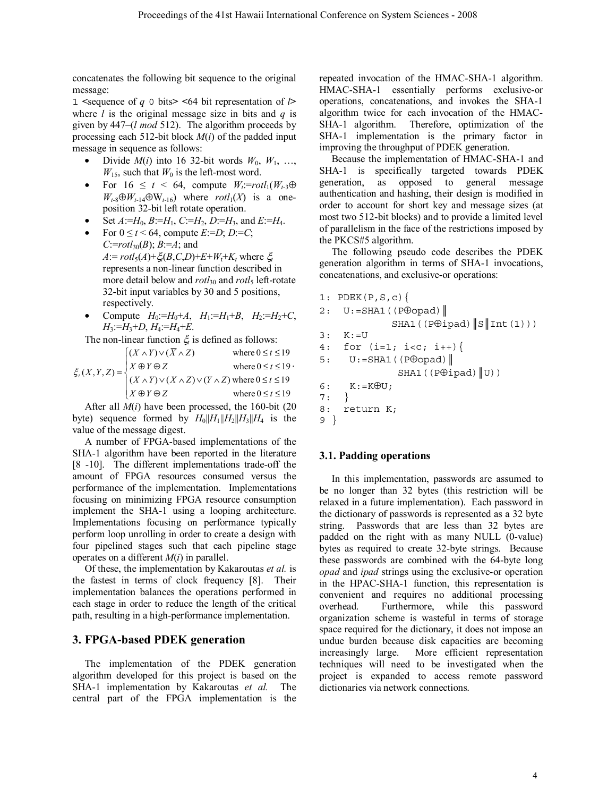concatenates the following bit sequence to the original message:

1 **<**sequence of *q* 0 bits**> <**64 bit representation of *l***>** where *l* is the original message size in bits and *q* is given by 447–(*l mod* 512). The algorithm proceeds by processing each 512-bit block *M*(*i*) of the padded input message in sequence as follows:

- Divide  $M(i)$  into 16 32-bit words  $W_0$ ,  $W_1$ , ...,  $W_{15}$ , such that  $W_0$  is the left-most word.
- For  $16 \le t \le 64$ , compute  $W_t = rotl_1(W_{t-3}\oplus W_t)$  $W_{t-8} \oplus W_{t-14} \oplus W_{t-16}$  where *rotl*<sub>1</sub>(*X*) is a oneposition 32-bit left rotate operation.
- Set *A*:=*H*0, *B*:=*H*1, *C*:=*H*2, *D*:=*H*3, and *E*:=*H*4.
- For  $0 \le t < 64$ , compute *E*:=*D*; *D*:=*C*; *C*:=*rotl*30(*B*); *B*:=*A*; and  $A := rotl_5(A) + \xi(B,C,D) + E + W_t + K_t$  where  $\xi_t$ represents a non-linear function described in more detail below and *rotl*<sub>30</sub> and *rotl*<sub>5</sub> left-rotate 32-bit input variables by 30 and 5 positions, respectively.
- Compute  $H_0:=H_0+A$ ,  $H_1:=H_1+B$ ,  $H_2:=H_2+C$ , *H*3:=*H*3+*D*, *H*4:=*H*4+*E*.

The non-linear function ξ*t* is defined as follows:

$$
\xi_t(X, Y, Z) = \begin{cases}\n(X \wedge Y) \vee (\overline{X} \wedge Z) & \text{where } 0 \le t \le 19 \\
X \oplus Y \oplus Z & \text{where } 0 \le t \le 19 \\
(X \wedge Y) \vee (X \wedge Z) \vee (Y \wedge Z) \text{ where } 0 \le t \le 19 \\
X \oplus Y \oplus Z & \text{where } 0 \le t \le 19\n\end{cases}
$$

After all *M*(*i*) have been processed, the 160-bit (20 byte) sequence formed by  $H_0||H_1||H_2||H_3||H_4$  is the value of the message digest.

A number of FPGA-based implementations of the SHA-1 algorithm have been reported in the literature [8 -10]. The different implementations trade-off the amount of FPGA resources consumed versus the performance of the implementation. Implementations focusing on minimizing FPGA resource consumption implement the SHA-1 using a looping architecture. Implementations focusing on performance typically perform loop unrolling in order to create a design with four pipelined stages such that each pipeline stage operates on a different *M*(*i*) in parallel.

Of these, the implementation by Kakaroutas *et al.* is the fastest in terms of clock frequency [8]. Their implementation balances the operations performed in each stage in order to reduce the length of the critical path, resulting in a high-performance implementation.

## **3. FPGA-based PDEK generation**

The implementation of the PDEK generation algorithm developed for this project is based on the SHA-1 implementation by Kakaroutas *et al.* The central part of the FPGA implementation is the

repeated invocation of the HMAC-SHA-1 algorithm. HMAC-SHA-1 essentially performs exclusive-or operations, concatenations, and invokes the SHA-1 algorithm twice for each invocation of the HMAC-SHA-1 algorithm. Therefore, optimization of the SHA-1 implementation is the primary factor in improving the throughput of PDEK generation.

Because the implementation of HMAC-SHA-1 and SHA-1 is specifically targeted towards PDEK generation, as opposed to general message authentication and hashing, their design is modified in order to account for short key and message sizes (at most two 512-bit blocks) and to provide a limited level of parallelism in the face of the restrictions imposed by the PKCS#5 algorithm.

The following pseudo code describes the PDEK generation algorithm in terms of SHA-1 invocations, concatenations, and exclusive-or operations:

```
1: PDEK(P,S,c)2: U:=SHA1 ((P⊕opad) |
             SHA1((P@ipad)\|\mathbf{S}\|Int(1)))3: K:=U4: for (i=1; i < c; i++)5: U:=SHA1 ((P\oplusopad) |
              SHA1 ((P@ipad)|U))
6: K:=K\oplus U;7: } 
8: return K; 
9 }
```
#### **3.1. Padding operations**

In this implementation, passwords are assumed to be no longer than 32 bytes (this restriction will be relaxed in a future implementation). Each password in the dictionary of passwords is represented as a 32 byte string. Passwords that are less than 32 bytes are padded on the right with as many NULL (0-value) bytes as required to create 32-byte strings. Because these passwords are combined with the 64-byte long *opad* and *ipad* strings using the exclusive-or operation in the HPAC-SHA-1 function, this representation is convenient and requires no additional processing overhead. Furthermore, while this password organization scheme is wasteful in terms of storage space required for the dictionary, it does not impose an undue burden because disk capacities are becoming increasingly large. More efficient representation techniques will need to be investigated when the project is expanded to access remote password dictionaries via network connections.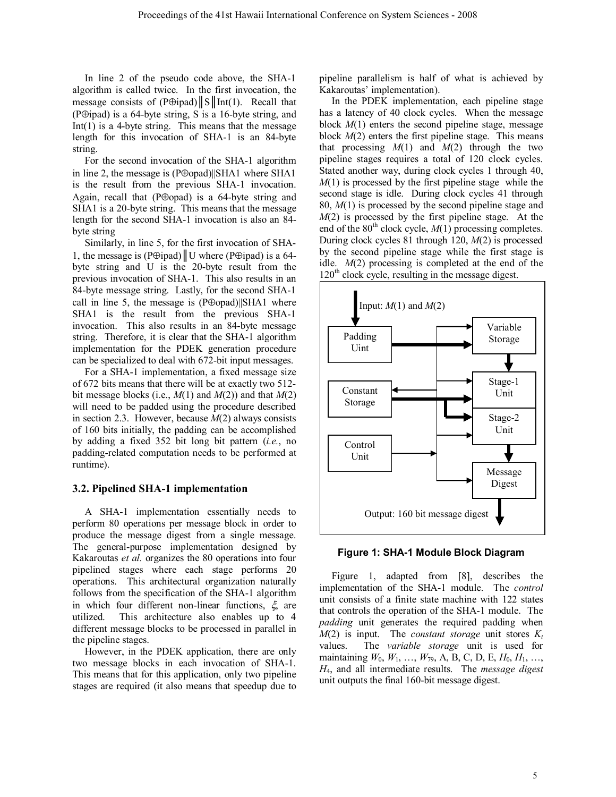In line 2 of the pseudo code above, the SHA-1 algorithm is called twice. In the first invocation, the message consists of (P⊕ipad)  $||S||$  Int(1). Recall that (P⊕ipad) is a 64-byte string, S is a 16-byte string, and  $Int(1)$  is a 4-byte string. This means that the message length for this invocation of SHA-1 is an 84-byte string.

For the second invocation of the SHA-1 algorithm in line 2, the message is (P⊕opad)||SHA1 where SHA1 is the result from the previous SHA-1 invocation. Again, recall that (P⊕opad) is a 64-byte string and SHA1 is a 20-byte string. This means that the message length for the second SHA-1 invocation is also an 84 byte string

Similarly, in line 5, for the first invocation of SHA-1, the message is (P⊕ipad)  $\parallel$  U where (P⊕ipad) is a 64byte string and U is the 20-byte result from the previous invocation of SHA-1. This also results in an 84-byte message string. Lastly, for the second SHA-1 call in line 5, the message is (P⊕opad)||SHA1 where SHA1 is the result from the previous SHA-1 invocation. This also results in an 84-byte message string. Therefore, it is clear that the SHA-1 algorithm implementation for the PDEK generation procedure can be specialized to deal with 672-bit input messages.

For a SHA-1 implementation, a fixed message size of 672 bits means that there will be at exactly two 512 bit message blocks (i.e., *M*(1) and *M*(2)) and that *M*(2) will need to be padded using the procedure described in section 2.3. However, because *M*(2) always consists of 160 bits initially, the padding can be accomplished by adding a fixed 352 bit long bit pattern (*i.e.*, no padding-related computation needs to be performed at runtime).

#### **3.2. Pipelined SHA-1 implementation**

A SHA-1 implementation essentially needs to perform 80 operations per message block in order to produce the message digest from a single message. The general-purpose implementation designed by Kakaroutas *et al.* organizes the 80 operations into four pipelined stages where each stage performs 20 operations. This architectural organization naturally follows from the specification of the SHA-1 algorithm in which four different non-linear functions,  $\xi$  are utilized. This architecture also enables up to 4 different message blocks to be processed in parallel in the pipeline stages.

However, in the PDEK application, there are only two message blocks in each invocation of SHA-1. This means that for this application, only two pipeline stages are required (it also means that speedup due to

pipeline parallelism is half of what is achieved by Kakaroutas' implementation).

In the PDEK implementation, each pipeline stage has a latency of 40 clock cycles. When the message block *M*(1) enters the second pipeline stage, message block *M*(2) enters the first pipeline stage. This means that processing  $M(1)$  and  $M(2)$  through the two pipeline stages requires a total of 120 clock cycles. Stated another way, during clock cycles 1 through 40, *M*(1) is processed by the first pipeline stage while the second stage is idle. During clock cycles 41 through 80, *M*(1) is processed by the second pipeline stage and *M*(2) is processed by the first pipeline stage. At the end of the 80<sup>th</sup> clock cycle, *M*(1) processing completes. During clock cycles 81 through 120, *M*(2) is processed by the second pipeline stage while the first stage is idle. *M*(2) processing is completed at the end of the  $120<sup>th</sup>$  clock cycle, resulting in the message digest.





Figure 1, adapted from [8], describes the implementation of the SHA-1 module. The *control* unit consists of a finite state machine with 122 states that controls the operation of the SHA-1 module. The *padding* unit generates the required padding when  $M(2)$  is input. The *constant storage* unit stores  $K_t$ values. The *variable storage* unit is used for maintaining *W*0, *W*1, …, *W*79, A, B, C, D, E, *H*0, *H*1, …, *H*4, and all intermediate results. The *message digest* unit outputs the final 160-bit message digest.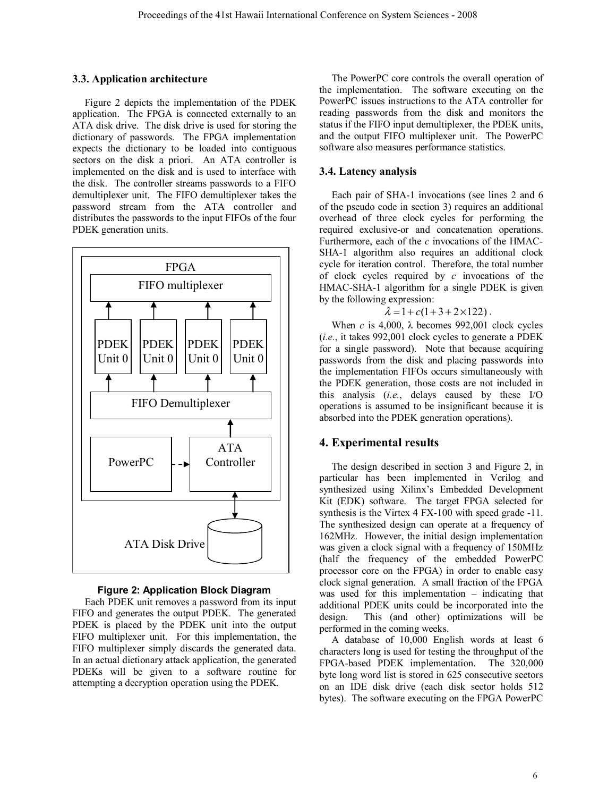#### **3.3. Application architecture**

Figure 2 depicts the implementation of the PDEK application. The FPGA is connected externally to an ATA disk drive. The disk drive is used for storing the dictionary of passwords. The FPGA implementation expects the dictionary to be loaded into contiguous sectors on the disk a priori. An ATA controller is implemented on the disk and is used to interface with the disk. The controller streams passwords to a FIFO demultiplexer unit. The FIFO demultiplexer takes the password stream from the ATA controller and distributes the passwords to the input FIFOs of the four PDEK generation units.



#### **Figure 2: Application Block Diagram**

Each PDEK unit removes a password from its input FIFO and generates the output PDEK. The generated PDEK is placed by the PDEK unit into the output FIFO multiplexer unit. For this implementation, the FIFO multiplexer simply discards the generated data. In an actual dictionary attack application, the generated PDEKs will be given to a software routine for attempting a decryption operation using the PDEK.

The PowerPC core controls the overall operation of the implementation. The software executing on the PowerPC issues instructions to the ATA controller for reading passwords from the disk and monitors the status if the FIFO input demultiplexer, the PDEK units, and the output FIFO multiplexer unit. The PowerPC software also measures performance statistics.

## **3.4. Latency analysis**

Each pair of SHA-1 invocations (see lines 2 and 6 of the pseudo code in section 3) requires an additional overhead of three clock cycles for performing the required exclusive-or and concatenation operations. Furthermore, each of the *c* invocations of the HMAC-SHA-1 algorithm also requires an additional clock cycle for iteration control. Therefore, the total number of clock cycles required by *c* invocations of the HMAC-SHA-1 algorithm for a single PDEK is given by the following expression:

 $\lambda = 1 + c(1 + 3 + 2 \times 122)$ .

When  $c$  is 4,000,  $\lambda$  becomes 992,001 clock cycles (*i.e.*, it takes 992,001 clock cycles to generate a PDEK for a single password). Note that because acquiring passwords from the disk and placing passwords into the implementation FIFOs occurs simultaneously with the PDEK generation, those costs are not included in this analysis (*i.e.*, delays caused by these I/O operations is assumed to be insignificant because it is absorbed into the PDEK generation operations).

#### **4. Experimental results**

The design described in section 3 and Figure 2, in particular has been implemented in Verilog and synthesized using Xilinx's Embedded Development Kit (EDK) software. The target FPGA selected for synthesis is the Virtex 4 FX-100 with speed grade -11. The synthesized design can operate at a frequency of 162MHz. However, the initial design implementation was given a clock signal with a frequency of 150MHz (half the frequency of the embedded PowerPC processor core on the FPGA) in order to enable easy clock signal generation. A small fraction of the FPGA was used for this implementation – indicating that additional PDEK units could be incorporated into the design. This (and other) optimizations will be performed in the coming weeks.

A database of 10,000 English words at least 6 characters long is used for testing the throughput of the FPGA-based PDEK implementation. The 320,000 byte long word list is stored in 625 consecutive sectors on an IDE disk drive (each disk sector holds 512 bytes). The software executing on the FPGA PowerPC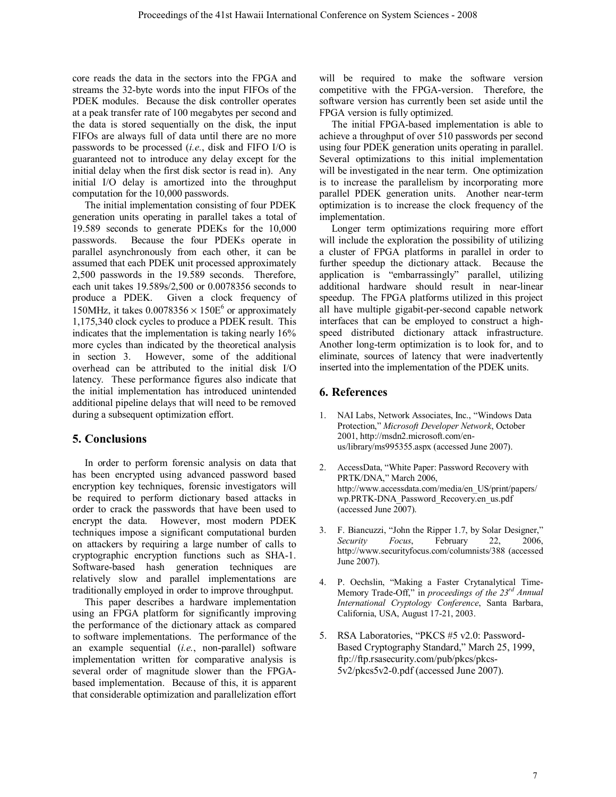core reads the data in the sectors into the FPGA and streams the 32-byte words into the input FIFOs of the PDEK modules. Because the disk controller operates at a peak transfer rate of 100 megabytes per second and the data is stored sequentially on the disk, the input FIFOs are always full of data until there are no more passwords to be processed (*i.e.*, disk and FIFO I/O is guaranteed not to introduce any delay except for the initial delay when the first disk sector is read in). Any initial I/O delay is amortized into the throughput computation for the 10,000 passwords.

The initial implementation consisting of four PDEK generation units operating in parallel takes a total of 19.589 seconds to generate PDEKs for the 10,000 passwords. Because the four PDEKs operate in parallel asynchronously from each other, it can be assumed that each PDEK unit processed approximately 2,500 passwords in the 19.589 seconds. Therefore, each unit takes 19.589s/2,500 or 0.0078356 seconds to produce a PDEK. Given a clock frequency of 150MHz, it takes  $0.0078356 \times 150E^6$  or approximately 1,175,340 clock cycles to produce a PDEK result. This indicates that the implementation is taking nearly 16% more cycles than indicated by the theoretical analysis in section 3. However, some of the additional overhead can be attributed to the initial disk I/O latency. These performance figures also indicate that the initial implementation has introduced unintended additional pipeline delays that will need to be removed during a subsequent optimization effort.

# **5. Conclusions**

In order to perform forensic analysis on data that has been encrypted using advanced password based encryption key techniques, forensic investigators will be required to perform dictionary based attacks in order to crack the passwords that have been used to encrypt the data. However, most modern PDEK techniques impose a significant computational burden on attackers by requiring a large number of calls to cryptographic encryption functions such as SHA-1. Software-based hash generation techniques are relatively slow and parallel implementations are traditionally employed in order to improve throughput.

This paper describes a hardware implementation using an FPGA platform for significantly improving the performance of the dictionary attack as compared to software implementations. The performance of the an example sequential (*i.e.*, non-parallel) software implementation written for comparative analysis is several order of magnitude slower than the FPGAbased implementation. Because of this, it is apparent that considerable optimization and parallelization effort will be required to make the software version competitive with the FPGA-version. Therefore, the software version has currently been set aside until the FPGA version is fully optimized.

The initial FPGA-based implementation is able to achieve a throughput of over 510 passwords per second using four PDEK generation units operating in parallel. Several optimizations to this initial implementation will be investigated in the near term. One optimization is to increase the parallelism by incorporating more parallel PDEK generation units. Another near-term optimization is to increase the clock frequency of the implementation.

Longer term optimizations requiring more effort will include the exploration the possibility of utilizing a cluster of FPGA platforms in parallel in order to further speedup the dictionary attack. Because the application is "embarrassingly" parallel, utilizing additional hardware should result in near-linear speedup. The FPGA platforms utilized in this project all have multiple gigabit-per-second capable network interfaces that can be employed to construct a highspeed distributed dictionary attack infrastructure. Another long-term optimization is to look for, and to eliminate, sources of latency that were inadvertently inserted into the implementation of the PDEK units.

# **6. References**

- 1. NAI Labs, Network Associates, Inc., "Windows Data Protection," *Microsoft Developer Network*, October 2001, http://msdn2.microsoft.com/enus/library/ms995355.aspx (accessed June 2007).
- 2. AccessData, "White Paper: Password Recovery with PRTK/DNA," March 2006, http://www.accessdata.com/media/en\_US/print/papers/ wp.PRTK-DNA\_Password\_Recovery.en\_us.pdf (accessed June 2007).
- 3. F. Biancuzzi, "John the Ripper 1.7, by Solar Designer," *Security Focus*, February 22, 2006, http://www.securityfocus.com/columnists/388 (accessed June 2007).
- 4. P. Oechslin, "Making a Faster Crytanalytical Time-Memory Trade-Off," in *proceedings of the 23rd Annual International Cryptology Conference*, Santa Barbara, California, USA, August 17-21, 2003.
- 5. RSA Laboratories, "PKCS #5 v2.0: Password-Based Cryptography Standard," March 25, 1999, ftp://ftp.rsasecurity.com/pub/pkcs/pkcs-5v2/pkcs5v2-0.pdf (accessed June 2007).